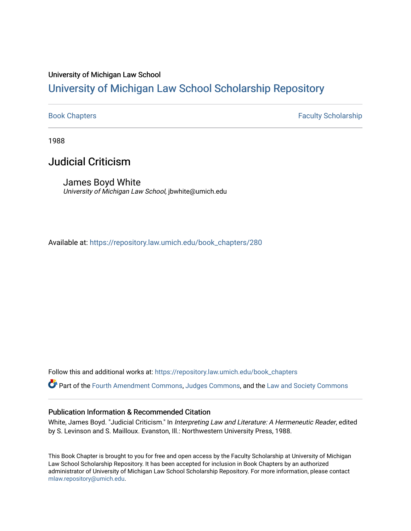### University of Michigan Law School

# [University of Michigan Law School Scholarship Repository](https://repository.law.umich.edu/)

[Book Chapters](https://repository.law.umich.edu/book_chapters) **Faculty Scholarship** 

1988

# Judicial Criticism

### James Boyd White

University of Michigan Law School, jbwhite@umich.edu

Available at: [https://repository.law.umich.edu/book\\_chapters/280](https://repository.law.umich.edu/book_chapters/280) 

Follow this and additional works at: [https://repository.law.umich.edu/book\\_chapters](https://repository.law.umich.edu/book_chapters?utm_source=repository.law.umich.edu%2Fbook_chapters%2F280&utm_medium=PDF&utm_campaign=PDFCoverPages)

Part of the [Fourth Amendment Commons,](http://network.bepress.com/hgg/discipline/1180?utm_source=repository.law.umich.edu%2Fbook_chapters%2F280&utm_medium=PDF&utm_campaign=PDFCoverPages) [Judges Commons,](http://network.bepress.com/hgg/discipline/849?utm_source=repository.law.umich.edu%2Fbook_chapters%2F280&utm_medium=PDF&utm_campaign=PDFCoverPages) and the [Law and Society Commons](http://network.bepress.com/hgg/discipline/853?utm_source=repository.law.umich.edu%2Fbook_chapters%2F280&utm_medium=PDF&utm_campaign=PDFCoverPages) 

### Publication Information & Recommended Citation

White, James Boyd. "Judicial Criticism." In Interpreting Law and Literature: A Hermeneutic Reader, edited by S. Levinson and S. Mailloux. Evanston, Ill.: Northwestern University Press, 1988.

This Book Chapter is brought to you for free and open access by the Faculty Scholarship at University of Michigan Law School Scholarship Repository. It has been accepted for inclusion in Book Chapters by an authorized administrator of University of Michigan Law School Scholarship Repository. For more information, please contact [mlaw.repository@umich.edu.](mailto:mlaw.repository@umich.edu)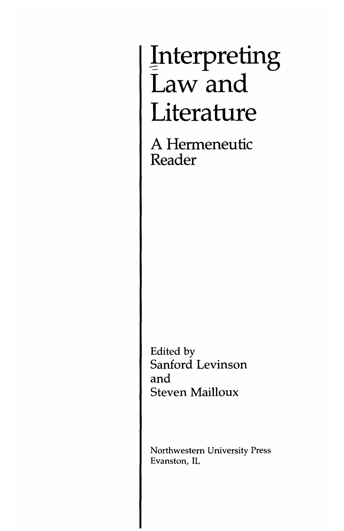# **Jnterpreting**  Law and **Literature**

**A Hermeneutic Reader** 

Edited by Sanford Levinson and Steven Mailloux

Northwestern University Press Evanston, IL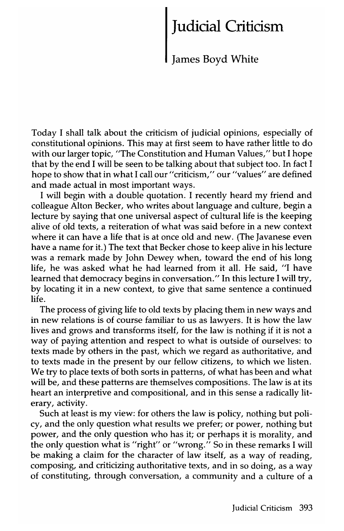# **Judicial Criticism**

## James Boyd White

Today I shall talk about the criticism of judicial opinions, especially of constitutional opinions. This may at first seem to have rather little to do with our larger topic, "The Constitution and Human Values," but I hope that by the end I will be seen to be talking about that subject too. In fact I hope to show that in what I call our "criticism," our "values" are defined and made actual in most important ways.

I will begin with a double quotation. I recently heard my friend and colleague Alton Becker, who writes about language and culture, begin a lecture by saying that one universal aspect of cultural life is the keeping alive of old texts, a reiteration of what was said before in a new context where it can have a life that is at once old and new. (The Javanese even have a name for it.) The text that Becker chose to keep alive in his lecture was a remark made by John Dewey when, toward the end of his long life, he was asked what he had learned from it all. He said, "I have learned that democracy begins in conversation." In this lecture I will try, by locating it in a new context, to give that same sentence a continued life.

The process of giving life to old texts by placing them in new ways and in new relations is of course familiar to us as lawyers. It is how the law lives and grows and transforms itself, for the law is nothing if it is not a way of paying attention and respect to what is outside of ourselves: to texts made by others in the past, which we regard as authoritative, and to texts made in the present by our fellow citizens, to which we listen. We try to place texts of both sorts in patterns, of what has been and what will be, and these patterns are themselves compositions. The law is at its heart an interpretive and compositional, and in this sense a radically literary, activity.

Such at least is my view: for others the law is policy, nothing but policy, and the only question what results we prefer; or power, nothing but power, and the only question who has it; or perhaps it is morality, and the only question what is "right" or "wrong." So in these remarks I will be making a claim for the character of law itself, as a way of reading, composing, and criticizing authoritative texts, and in so doing, as a way of constituting, through conversation, a community and a culture of a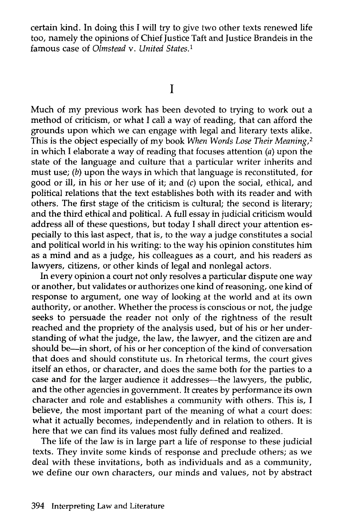certain kind. In doing this I will try to give two other texts renewed life too, namely the opinions of Chief Justice Taft and Justice Brandeis in the famous case of *Olmstead* v. *United States. <sup>1</sup>*

Much of my previous work has been devoted to trying to work out a method of criticism, or what I call a way of reading, that can afford the grounds upon which we can engage with legal and literary texts alike. This is the object especially of my book *When Words Lose Their Meaning,2*  in which I elaborate a way of reading that focuses attention (a) upon the state of the language and culture that a particular writer inherits and must use; (b) upon the ways in which that language is reconstituted, for good or ill, in his or her use of it; and (c) upon the social, ethical, and political relations that the text establishes both with its reader and with others. The first stage of the criticism is cultural; the second is literary; and the third ethical and political. A full essay in judicial criticism would address all of these questions, but today I shall direct your attention especially to this last aspect, that is, to the way a judge constitutes a social and political world in his writing: to the way his opinion constitutes him as a mind and as a judge, his colleagues as a court, and his readers as lawyers, citizens, or other kinds of legal and nonlegal actors.

In every opinion a court not only resolves a particular dispute one way or another, but validates or authorizes one kind of reasoning, one kind of response to argument, one way of looking at the world and at its own authority, or another. Whether the process is conscious or not, the judge seeks to persuade the reader not only of the rightness of the result reached and the propriety of the analysis used, but of his or her understanding of what the judge, the law, the lawyer, and the citizen are and should be-in short, of his or her conception of the kind of conversation that does and should constitute us. In rhetorical terms, the court gives itself an ethos, or character, and does the same both for the parties to a case and for the larger audience it addresses-the lawyers, the public, and the other agencies in government. It creates by performance its own character and role and establishes a community with others. This is, I believe, the most important part of the meaning of what a court does: what it actually becomes, independently and in relation to others. It is here that we can find its values most fully defined and realized.

The life of the law is in large part a life of response to these judicial texts. They invite some kinds of response and preclude others; as we deal with these invitations, both as individuals and as a community, we define our own characters, our minds and values, not by abstract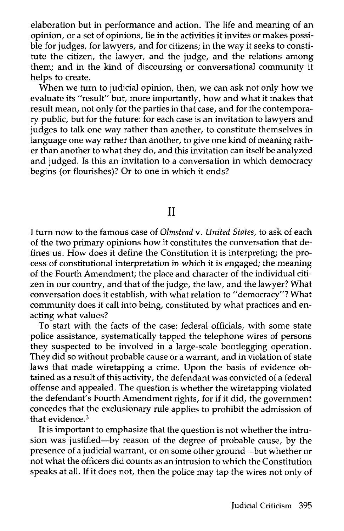elaboration but in performance and action. The life and meaning of an opinion, or a set of opinions, lie in the activities it invites or makes possible for judges, for lawyers, and for citizens; in the way it seeks to constitute the citizen, the lawyer, and the judge, and the relations among them; and in the kind of discoursing or conversational community it helps to create.

When we turn to judicial opinion, then, we can ask not only how we evaluate its "result" but, more importantly, how and what it makes that result mean, not only for the parties in that case, and for the contemporary public, but for the future: for each case is an invitation to lawyers and judges to talk one way rather than another, to constitute themselves in language one way rather than another, to give one kind of meaning rather than another to what they do, and this invitation can itself be analyzed and judged. Is this an invitation to a conversation in which democracy begins (or flourishes)? Or to one in which it ends?

## II

I tum now to the famous case of *Olmstead* v. *United States,* to ask of each of the two primary opinions how it constitutes the conversation that defines us. How does it define the Constitution it is interpreting; the process of constitutional interpretation in which it is engaged; the meaning of the Fourth Amendment; the place and character of the individual citizen in our country, and that of the judge, the law, and the lawyer? What conversation does it establish, with what relation to "democracy"? What community does it call into being, constituted by what practices and enacting what values?

To start with the facts of the case: federal officials, with some state police assistance, systematically tapped the telephone wires of persons they suspected to be involved in a large-scale bootlegging operation. They did so without probable cause or a warrant, and in violation of state laws that made wiretapping a crime. Upon the basis of evidence obtained as a result of this activity, the defendant was convicted of a federal offense and appealed. The question is whether the wiretapping violated the defendant's Fourth Amendment rights, for if it did, the government concedes that the exclusionary rule applies to prohibit the admission of that evidence.<sup>3</sup>

It is important to emphasize that the question is not whether the intrusion was justified-by reason of the degree of probable cause, by the presence of a judicial warrant, or on some other ground--but whether or not what the officers did counts as an intrusion to which the Constitution speaks at all. If it does not, then the police may tap the wires not only of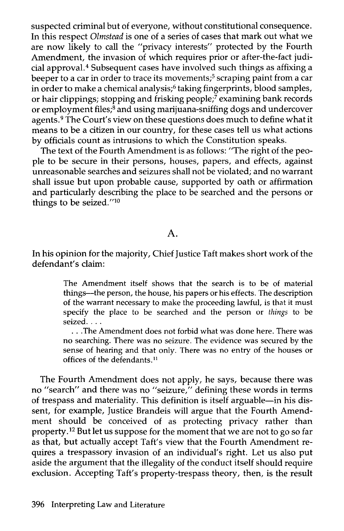suspected criminal but of everyone, without constitutional consequence. In this respect *Olmstead* is one of a series of cases that mark out what we are now likely to call the "privacy interests" protected by the Fourth Amendment, the invasion of which requires prior or after-the-fact judicial approval. 4 Subsequent cases have involved such things as affixing a beeper to a car in order to trace its movements;<sup>5</sup> scraping paint from a car in order to make a chemical analysis;<sup>6</sup> taking fingerprints, blood samples, or hair clippings; stopping and frisking people;<sup>7</sup> examining bank records or employment files;<sup>8</sup> and using marijuana-sniffing dogs and undercover agents. 9 The Court's view on these questions does much to define what it means to be a citizen in our country, for these cases tell us what actions by officials count as intrusions to which the Constitution speaks.

The text of the Fourth Amendment is as follows: "The right of the people to be secure in their persons, houses, papers, and effects, against unreasonable searches and seizures shall not be violated; and no warrant shall issue but upon probable cause, supported by oath or affirmation and particularly describing the place to be searched and the persons or things to be seized."<sup>10</sup>

### A.

In his opinion for the majority, Chief Justice Taft makes short work of the defendant's claim:

> The Amendment itself shows that the search is to be of material things--the person, the house, his papers or his effects. The description of the warrant necessary to make the proceeding lawful, is that it must specify the place to be searched and the person or *things* to be seized....

> . . . The Amendment does not forbid what was done here. There was no searching. There was no seizure. The evidence was secured by the sense of hearing and that only. There was no entry of the houses or offices of the defendants.<sup>11</sup>

The Fourth Amendment does not apply, he says, because there was no "search" and there was no "seizure," defining these words in terms of trespass and materiality. This definition is itself arguable-in his dissent, for example, Justice Brandeis will argue that the Fourth Amendment should be conceived of as protecting privacy rather than property. 12 But let us suppose for the moment that we are not to go so far as that, but actually accept Taft's view that the Fourth Amendment requires a trespassory invasion of an individual's right. Let us also put aside the argument that the illegality of the conduct itself should require exclusion. Accepting Taft's property-trespass theory, then, is the result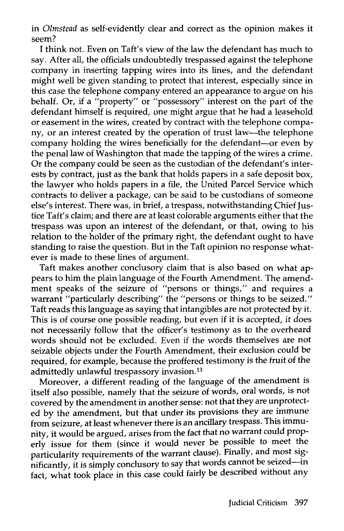in *Olmstead* as self-evidently clear and correct as the opinion makes it seem?

I think not. Even on Taft's view of the law the defendant has much to say. After all, the officials undoubtedly trespassed against the telephone company in inserting tapping wires into its lines, and the defendant might well be given standing to protect that interest, especially since in this case the telephone company entered an appearance to argue on his behalf. Or, if a "property" or "possessory" interest on the part of the defendant himself is required, one might argue that he had a leasehold or easement in the wires, created by contract with the telephone company, or an interest created by the operation of trust law-the telephone company holding the wires beneficially for the defendant-or even by the penal law of Washington that made the tapping of the wires a crime. Or the company could be seen as the custodian of the defendant's interests by contract, just as the bank that holds papers in a safe deposit box, the lawyer who holds papers in a file, the United Parcel Service which contracts to deliver a package, can be said to be custodians of someone else's interest. There was, in brief, a trespass, notwithstanding Chief Justice Taft's claim; and there are at least colorable arguments either that the trespass was upon an interest of the defendant, or that, owing to his relation to the holder of the primary right, the defendant ought to have standing to raise the question. But in the Taft opinion no response whatever is made to these lines of argument.

Taft makes another conclusory claim that is also based on what appears to him the plain language of the Fourth Amendment. The amendment speaks of the seizure of "persons or things," and requires a warrant "particularly describing" the "persons or things to be seized." Taft reads this language as saying that intangibles are not protected by it. This is of course one possible reading, but even if it is accepted, it does not necessarily follow that the officer's testimony as to the overheard words should not be excluded. Even if the words themselves are not seizable objects under the Fourth Amendment, their exclusion could be required, for example, because the proffered testimony is the fruit of the admittedly unlawful trespassory invasion. <sup>13</sup>

Moreover, a different reading of the language of the amendment is itself also possible, namely that the seizure of words, oral words, is not covered by the amendment in another sense: not that they are unprotected by the amendment, but that under its provisions they are immune from seizure, at least whenever there is an ancillary trespass. This immunity, it would be argued, arises from the fact that no warrant could properly issue for them (since it would never be possible to meet the particularity requirements of the warrant clause). Finally, and most significantly, it is simply conclusory to say that words cannot be seized-in fact, what took place in this case could fairly be described without any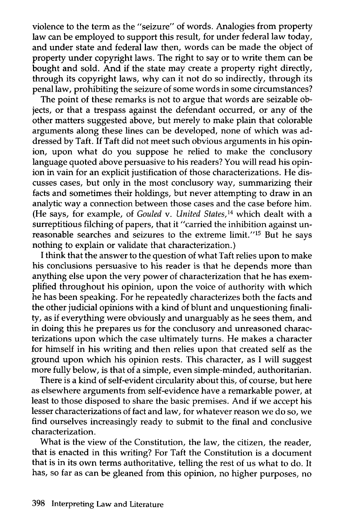violence to the term as the "seizure" of words. Analogies from property law can be employed to support this result, for under federal law today, and under state and federal law then, words can be made the object of property under copyright laws. The right to say or to write them can be bought and sold. And if the state may create a property right directly, through its copyright laws, why can it not do so indirectly, through its penal law, prohibiting the seizure of some words in some circumstances?

The point of these remarks is not to argue that words are seizable objects, or that a trespass against the defendant occurred, or any of the other matters suggested above, but merely to make plain that colorable arguments along these lines can be developed, none of which was addressed by Taft. If Taft did not meet such obvious arguments in his opinion, upon what do you suppose he relied to make the conclusory language quoted above persuasive to his readers? You will read his opinion in vain for an explicit justification of those characterizations. He discusses cases, but only in the most conclusory way, summarizing their facts and sometimes their holdings, but never attempting to draw in an analytic way a connection between those cases and the case before him. (He says, for example, of *Gouled v. United States*,<sup>14</sup> which dealt with a surreptitious filching of papers, that it "carried the inhibition against unreasonable searches and seizures to the extreme limit." 15 But he says nothing to explain or validate that characterization.)

I think that the answer to the question of what Taft relies upon to make his conclusions persuasive to his reader is that he depends more than anything else upon the very power of characterization that he has exemplified throughout his opinion, upon the voice of authority with which he has been speaking. For he repeatedly characterizes both the facts and the other judicial opinions with a kind of blunt and unquestioning finality, as if everything were obviously and unarguably as he sees them, and in doing this he prepares us for the conclusory and unreasoned characterizations upon which the case ultimately turns. He makes a character for himself in his writing and then relies upon that created self as the ground upon which his opinion rests. This character, as I will suggest more fully below, is that of a simple, even simple-minded, authoritarian.

There is a kind of self-evident circularity about this, of course, but here as elsewhere arguments from self-evidence have a remarkable power, at least to those disposed to share the basic premises. And if we accept his lesser characterizations of fact and law, for whatever reason we do so, we find ourselves increasingly ready to submit to the final and conclusive characterization.

What is the view of the Constitution, the law, the citizen, the reader, that is enacted in this writing? For Taft the Constitution is a document that is in its own terms authoritative, telling the rest of us what to do. It has, so far as can be gleaned from this opinion, no higher purposes, no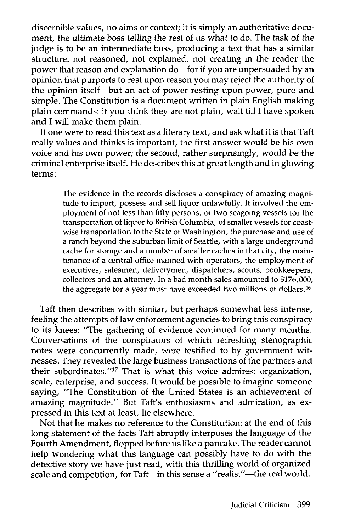discernible values, no aims or context; it is simply an authoritative document, the ultimate boss telling the rest of us what to do. The task of the judge is to be an intermediate boss, producing a text that has a similar structure: not reasoned, not explained, not creating in the reader the power that reason and explanation do—for if you are unpersuaded by an opinion that purports to rest upon reason you may reject the authority of the opinion itself-but an act of power resting upon power, pure and simple. The Constitution is a document written in plain English making plain commands: if you think they are not plain, wait till I have spoken and I will make them plain.

If one were to read this text as a literary text, and ask what it is that Taft really values and thinks is important, the first answer would be his own voice and his own power; the second, rather surprisingly, would be the criminal enterprise itself. He describes this at great length and in glowing terms:

> The evidence in the records discloses a conspiracy of amazing magnitude to import, possess and sell liquor unlawfully. It involved the employment of not less than fifty persons, of two seagoing vessels for the transportation of liquor to British Columbia, of smaller vessels for coastwise transportation to the State of Washington, the purchase and use of a ranch beyond the suburban limit of Seattle, with a large underground cache for storage and a number of smaller caches in that city, the maintenance of a central office manned with operators, the employment of executives, salesmen, deliverymen, dispatchers, scouts, bookkeepers, collectors and an attorney. In a bad month sales amounted to \$176,000; the aggregate for a year must have exceeded two millions of dollars. <sup>16</sup>

Taft then describes with similar, but perhaps somewhat less intense, feeling the attempts of law enforcement agencies to bring this conspiracy to its knees: "The gathering of evidence continued for many months. Conversations of the conspirators of which refreshing stenographic notes were concurrently made, were testified to by government witnesses. They revealed the large business transactions of the partners and their subordinates."17 That is what this voice admires: organization, scale, enterprise, and success. It would be possible to imagine someone saying, "The Constitution of the United States is an achievement of amazing magnitude." But Taft's enthusiasms and admiration, as expressed in this text at least, lie elsewhere.

Not that he makes no reference to the Constitution: at the end of this long statement of the facts Taft abruptly interposes the language of the Fourth Amendment, flopped before us like a pancake. The reader cannot help wondering what this language can possibly have to do with the detective story we have just read, with this thrilling world of organized scale and competition, for Taft-in this sense a "realist"-the real world.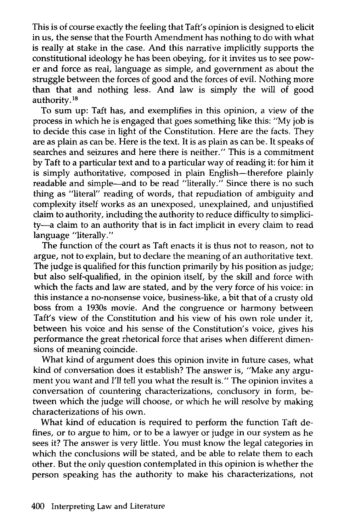This is of course exactly the feeling that Taft's opinion is designed to elicit in us, the sense that the Fourth Amendment has nothing to do with what is really at stake in the case. And this narrative implicitly supports the constitutional ideology he has been obeying, for it invites us to see power and force as real, language as simple, and government as about the struggle between the forces of good and the forces of evil. Nothing more than that and nothing less. And law is simply the will of good authority. <sup>18</sup>

To sum up: Taft has, and exemplifies in this opinion, a view of the process in which he is engaged that goes something like this: "My job is to decide this case in light of the Constitution. Here are the facts. They are as plain as can be. Here is the text. It is as plain as can be. It speaks of searches and seizures and here there is neither." This is a commitment by Taft to a particular text and to a particular way of reading it: for him it is simply authoritative, composed in plain English-therefore plainly readable and simple—and to be read "literally." Since there is no such thing as "literal" reading of words, that repudiation of ambiguity and complexity itself works as an unexposed, unexplained, and unjustified claim to authority, including the authority to reduce difficulty to simplicity-a claim to an authority that is in fact implicit in every claim to read language "literally."

The function of the court as Taft enacts it is thus not to reason, not to argue, not to explain, but to declare the meaning of an authoritative text. The judge is qualified for this function primarily by his position as judge; but also self-qualified, in the opinion itself, by the skill and force with which the facts and law are stated, and by the very force of his voice: in this instance a no-nonsense voice, business-like, a bit that of a crusty old boss from a 1930s movie. And the congruence or harmony between Taft's view of the Constitution and his view of his own role under it, between his voice and his sense of the Constitution's voice, gives his performance the great rhetorical force that arises when different dimensions of meaning coincide.

What kind of argument does this opinion invite in future cases, what kind of conversation does it establish? The answer is, "Make any argument you want and I'll tell you what the result is." The opinion invites a conversation of countering characterizations, conclusory in form, between which the judge will choose, or which he will resolve by making characterizations of his own.

What kind of education is required to perform the function Taft defines, or to argue to him, or to be a lawyer or judge in our system as he sees it? The answer is very little. You must know the legal categories in which the conclusions will be stated, and be able to relate them to each other. But the only question contemplated in this opinion is whether the person speaking has the authority to make his characterizations, not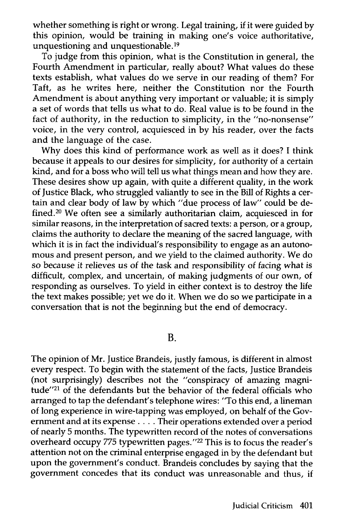whether something is right or wrong. Legal training, if it were guided by this opinion, would be training in making one's voice authoritative, unquestioning and unquestionable. 19

To judge from this opinion, what is the Constitution in general, the Fourth Amendment in particular, really about? What values do these texts establish, what values do we serve in our reading of them? For Taft, as he writes here, neither the Constitution nor the Fourth Amendment is about anything very important or valuable; it is simply a set of words that tells us what to do. Real value is to be found in the fact of authority, in the reduction to simplicity, in the "no-nonsense" voice, in the very control, acquiesced in by his reader, over the facts and the language of the case.

Why does this kind of performance work as well as it does? I think because it appeals to our desires for simplicity, for authority of a certain kind, and for a boss who will tell us what things mean and how they are. These desires show up again, with quite a different quality, in the work of Justice Black, who struggled valiantly to see in the Bill of Rights a certain and clear body of law by which "due process of law" could be defined.20 We often see a similarly authoritarian claim, acquiesced in for similar reasons, in the interpretation of sacred texts: a person, or a group, claims the authority to declare the meaning of the sacred language, with which it is in fact the individual's responsibility to engage as an autonomous and present person, and we yield to the claimed authority. We do so because it relieves us of the task and responsibility of facing what is difficult, complex, and uncertain, of making judgments of our own, of responding as ourselves. To yield in either context is to destroy the life the text makes possible; yet we do it. When we do so we participate in a conversation that is not the beginning but the end of democracy.

### B.

The opinion of Mr. Justice Brandeis, justly famous, is different in almost every respect. To begin with the statement of the facts, Justice Brandeis (not surprisingly) describes not the "conspiracy of amazing magnitude"21 of the defendants but the behavior of the federal officials who arranged to tap the defendant's telephone wires: "To this end, a lineman of long experience in wire-tapping was employed, on behalf of the Government and at its expense .... Their operations extended over a period of nearly 5 months. The typewritten record of the notes of conversations overheard occupy 775 typewritten pages."<sup>22</sup> This is to focus the reader's attention not on the criminal enterprise engaged in by the defendant but upon the government's conduct. Brandeis concludes by saying that the government concedes that its conduct was unreasonable and thus, if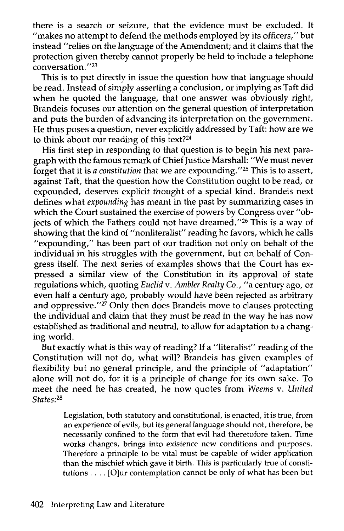there is a search or seizure, that the evidence must be excluded. It "makes no attempt to defend the methods employed by its officers," but instead "relies on the language of the Amendment; and it claims that the protection given thereby cannot properly be held to include a telephone conversation."<sup>23</sup>

This is to put directly in issue the question how that language should be read. Instead of simply asserting a conclusion, or implying as Taft did when he quoted the language, that one answer was obviously right, Brandeis focuses our attention on the general question of interpretation and puts the burden of advancing its interpretation on the government. He thus poses a question, never explicitly addressed by Taft: how are we to think about our reading of this text?<sup>24</sup>

His first step in responding to that question is to begin his next paragraph with the famous remark of Chief Justice Marshall: "We must never forget that it is *a constitution* that we are expounding." 25 This is to assert, against Taft, that the question how the Constitution ought to be read, or expounded, deserves explicit thought of a special kind. Brandeis next defines what *expounding* has meant in the past by summarizing cases in which the Court sustained the exercise of powers by Congress over "objects of which the Fathers could not have dreamed.<sup>"26</sup> This is a way of showing that the kind of "nonliteralist" reading he favors, which he calls "expounding," has been part of our tradition not only on behalf of the individual in his struggles with the government, but on behalf of Congress itself. The next series of examples shows that the Court has expressed a similar view of the Constitution in its approval of state regulations which, quoting *Euclid* v. *Ambler Realty Co.,* "a century ago, or even half a century ago, probably would have been rejected as arbitrary and oppressive."<sup>27</sup> Only then does Brandeis move to clauses protecting the individual and claim that they must be read in the way he has now established as traditional and neutral, to allow for adaptation to a changing world.

But exactly what is this way of reading? If a "literalist" reading of the Constitution will not do, what will? Brandeis has given examples of flexibility but no general principle, and the principle of "adaptation" alone will not do, for it is a principle of change for its own sake. To meet the need he has created, he now quotes from *Weems* v. *United States:28* 

> Legislation, both statutory and constitutional, is enacted, it is true, from an experience of evils, but its general language should not, therefore, be necessarily confined to the form that evil had theretofore taken. Time works changes, brings into existence new conditions and purposes. Therefore a principle to be vital must be capable of wider application than the mischief which gave it birth. This is particularly true of constitutions .... [O]ur contemplation cannot be only of what has been but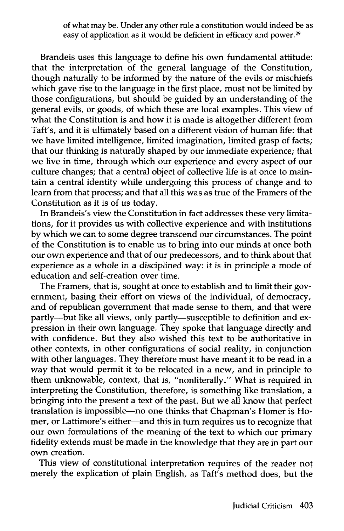of what may be. Under any other rule a constitution would indeed be as easy of application as it would be deficient in efficacy and power.<sup>29</sup>

Brandeis uses this language to define his own fundamental attitude: that the interpretation of the general language of the Constitution, though naturally to be informed by the nature of the evils or mischiefs which gave rise to the language in the first place, must not be limited by those configurations, but should be guided by an understanding of the general evils, or goods, of which these are local examples. This view of what the Constitution is and how it is made is altogether different from Taft's, and it is ultimately based on a different vision of human life: that we have limited intelligence, limited imagination, limited grasp of facts; that our thinking is naturally shaped by our immediate experience; that we live in time, through which our experience and every aspect of our culture changes; that a central object of collective life is at once to maintain a central identity while undergoing this process of change and to learn from that process; and that all this was as true of the Framers of the Constitution as it is of us today.

In Brandeis's view the Constitution in fact addresses these very limitations, for it provides us with collective experience and with institutions by which we can to some degree transcend our circumstances. The point of the Constitution is to enable us to bring into our minds at once both our own experience and that of our predecessors, and to think about that experience as a whole in a disciplined way: it is in principle a mode of education and self-creation over time.

The Framers, that is, sought at once to establish and to limit their government, basing their effort on views of the individual, of democracy, and of republican government that made sense to them, and that were partly-but like all views, only partly-susceptible to definition and expression in their own language. They spoke that language directly and with confidence. But they also wished this text to be authoritative in other contexts, in other configurations of social reality, in conjunction with other languages. They therefore must have meant it to be read in a way that would permit it to be relocated in a new, and in principle to them unknowable, context, that is, "nonliterally." What is required in interpreting the Constitution, therefore, is something like translation, a bringing into the present a text of the past. But we all know that perfect translation is impossible-no one thinks that Chapman's Homer is Homer, or Lattimore's either-and this in turn requires us to recognize that our own formulations of the meaning of the text to which our primary fidelity extends must be made in the knowledge that they are in part our own creation.

This view of constitutional interpretation requires of the reader not merely the explication of plain English, as Taft's method does, but the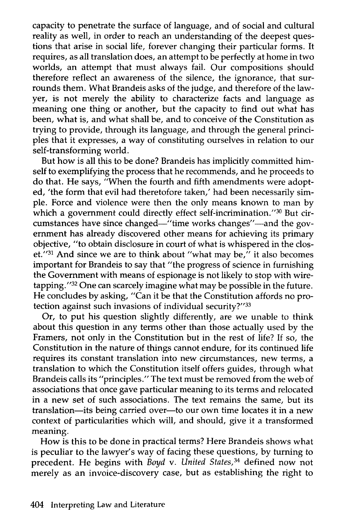capacity to penetrate the surface of language, and of social and cultural reality as well, in order to reach an understanding of the deepest questions that arise in social life, forever changing their particular forms. It requires, as all translation does, an attempt to be perfectly at home in two worlds, an attempt that must always fail. Our compositions should therefore reflect an awareness of the silence, the ignorance, that surrounds them. What Brandeis asks of the judge, and therefore of the lawyer, is not merely the ability to characterize facts and language as meaning one thing or another, but the capacity to find out what has been, what is, and what shall be, and to conceive of the Constitution as trying to provide, through its language, and through the general principles that it expresses, a way of constituting ourselves in relation to our self-transforming world.

But how is all this to be done? Brandeis has implicitly committed himself to exemplifying the process that he recommends, and he proceeds to do that. He says, "When the fourth and fifth amendments were adopted, 'the form that evil had theretofore taken,' had been necessarily simple. Force and violence were then the only means known to man by which a government could directly effect self-incrimination."30 But circumstances have since changed—"time works changes"—and the government has already discovered other means for achieving its primary objective, "to obtain disclosure in court of what is whispered in the closet.<sup>"31</sup> And since we are to think about "what may be," it also becomes important for Brandeis to say that "the progress of science in furnishing the Government with means of espionage is not likely to stop with wiretapping. "32 One can scarcely imagine what may be possible in the future. He concludes by asking, "Can it be that the Constitution affords no protection against such invasions of individual security?"<sup>33</sup>

Or, to put his question slightly differently, are we unable to think about this question in any terms other than those actually used by the Framers, not only in the Constitution but in the rest of life? If so, the Constitution in the nature of things cannot endure, for its continued life requires its constant translation into new circumstances, new terms, a translation to which the Constitution itself offers guides, through what Brandeis calls its "principles." The text must be removed from the web of associations that once gave particular meaning to its terms and relocated in a new set of such associations. The text remains the same, but its translation—its being carried over—to our own time locates it in a new context of particularities which will, and should, give it a transformed meaning.

How is this to be done in practical terms? Here Brandeis shows what is peculiar to the lawyer's way of facing these questions, by turning to precedent. He begins with *Boyd* v. *United States*,<sup>34</sup> defined now not merely as an invoice-discovery case, but as establishing the right to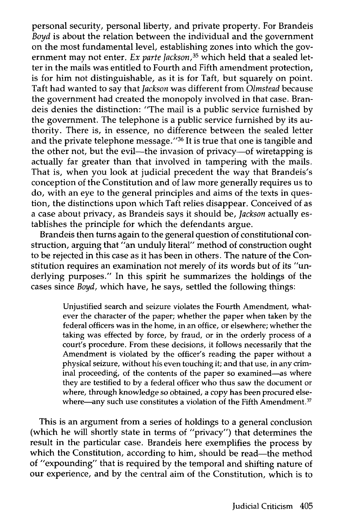personal security, personal liberty, and private property. For Brandeis *Boyd* is about the relation between the individual and the government on the most fundamental level, establishing zones into which the government may not enter. *Ex parte Jackson*,<sup>35</sup> which held that a sealed letter in the mails was entitled to Fourth and Fifth amendment protection, is for him not distinguishable, as it is for Taft, but squarely on point. Taft had wanted to say that *Jackson* was different from *Olmstead* because the government had created the monopoly involved in that case. Brandeis denies the distinction: "The mail is a public service furnished by the government. The telephone is a public service furnished by its authority. There is, in essence, no difference between the sealed letter and the private telephone message."36 It is true that one is tangible and the other not, but the evil-the invasion of privacy-of wiretapping is actually far greater than that involved in tampering with the mails. That is, when you look at judicial precedent the way that Brandeis's conception of the Constitution and of law more generally requires us to do, with an eye to the general principles and aims of the texts in question, the distinctions upon which Taft relies disappear. Conceived of as a case about privacy, as Brandeis says it should be, *Jackson* actually establishes the principle for which the defendants argue.

Brandeis then turns again to the general question of constitutional construction, arguing that "an unduly literal" method of construction ought to be rejected in this case as it has been in others. The nature of the Constitution requires an examination not merely of its words but of its "underlying purposes." In this spirit he summarizes the holdings of the cases since *Boyd,* which have, he says, settled the following things:

> Unjustified search and seizure violates the Fourth Amendment, whatever the character of the paper; whether the paper when taken by the federal officers was in the home, in an office, or elsewhere; whether the taking was effected by force, by fraud, or in the orderly process of a court's procedure. From these decisions, it follows necessarily that the Amendment is violated by the officer's reading the paper without a physical seizure, without his even touching it; and that use, in any criminal proceeding, of the contents of the paper so examined-as where they are testified to by a federal officer who thus saw the document or where, through knowledge so obtained, a copy has been procured elsewhere—any such use constitutes a violation of the Fifth Amendment. $37$

This is an argument from a series of holdings to a general conclusion (which he will shortly state in terms of "privacy") that determines the result in the particular case. Brandeis here exemplifies the process by which the Constitution, according to him, should be read—the method of "expounding" that is required by the temporal and shifting nature of our experience, and by the central aim of the Constitution, which is to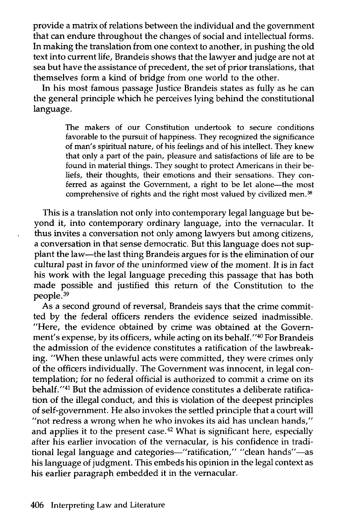provide a matrix of relations between the individual and the government that can endure throughout the changes of social and intellectual forms. In making the translation from one context to another, in pushing the old text into current life, Brandeis shows that the lawyer and judge are not at sea but have the assistance of precedent, the set of prior translations, that themselves form a kind of bridge from one world to the other.

In his most famous passage Justice Brandeis states as fully as he can the general principle which he perceives lying behind the constitutional language.

> The makers of our Constitution undertook to secure conditions favorable to the pursuit of happiness. They recognized the significance of man's spiritual nature, of his feelings and of his intellect. They knew that only a part of the pain, pleasure and satisfactions of life are to be found in material things. They sought to protect Americans in their beliefs, their thoughts, their emotions and their sensations. They conferred as against the Government, a right to be let alone-the most comprehensive of rights and the right most valued by civilized men.<sup>38</sup>

This is a translation not only into contemporary legal language but beyond it, into contemporary ordinary language, into the vernacular. It thus invites a conversation not only among lawyers but among citizens, a conversation in that sense democratic. But this language does not supplant the law-the last thing Brandeis argues for is the elimination of our cultural past in favor of the uninformed view of the moment. It is in fact his work with the legal language preceding this passage that has both made possible and justified this return of the Constitution to the people.<sup>39</sup>

As a second ground of reversal, Brandeis says that the crime committed by the federal officers renders the evidence seized inadmissible. "Here, the evidence obtained by crime was obtained at the Government's expense, by its officers, while acting on its behalf."40 For Brandeis the admission of the evidence constitutes a ratification of the lawbreaking. "When these unlawful acts were committed, they were crimes only of the officers individually. The Government was innocent, in legal contemplation; for no federal official is authorized to commit a crime on its behalf.<sup>"41</sup> But the admission of evidence constitutes a deliberate ratification of the illegal conduct, and this is violation of the deepest principles of self-government. He also invokes the settled principle that a court will "not redress a wrong when he who invokes its aid has unclean hands," and applies it to the present case.<sup>42</sup> What is significant here, especially after his earlier invocation of the vernacular, is his confidence in traditional legal language and categories-"ratification," "clean hands"-as his language of judgment. This embeds his opinion in the legal context as his earlier paragraph embedded it in the vernacular.

 $\ddot{\phantom{a}}$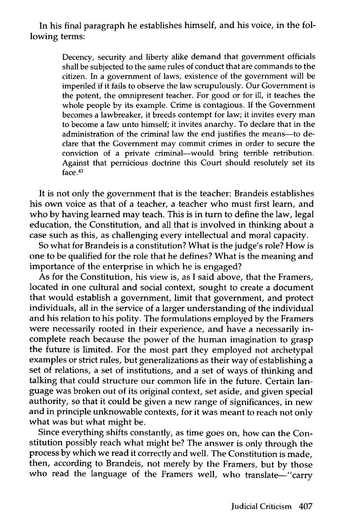In his final paragraph he establishes himself, and his voice, in the following terms:

> Decency, security and liberty alike demand that government officials shall be subjected to the same rules of conduct that are commands to the citizen. In a government of laws, existence of the government will be imperiled if it fails to observe the law scrupulously. Our Government is the potent, the omnipresent teacher. For good or for ill, it teaches the whole people by its example. Crime is contagious. If the Government becomes a lawbreaker, it breeds contempt for law; it invites every man to become a law unto himself; it invites anarchy. To declare that in the administration of the criminal law the end justifies the means-to declare that the Government may commit crimes in order to secure the conviction of a private criminal—would bring terrible retribution. Against that pernicious doctrine this Court should resolutely set its  $frac^{-13}$

It is not only the government that is the teacher: Brandeis establishes his own voice as that of a teacher, a teacher who must first learn, and who by having learned may teach. This is in turn to define the law, legal education, the Constitution, and all that is involved in thinking about a case such as this, as challenging every intellectual and moral capacity.

So what for Brandeis is a constitution? What is the judge's role? How is one to be qualified for the role that he defines? What is the meaning and importance of the enterprise in which he is engaged?

As for the Constitution, his view is, as I said above, that the Framers, located in one cultural and social context, sought to create a document that would establish a government, limit that government, and protect individuals, all in the service of a larger understanding of the individual and his relation to his polity. The formulations employed by the Framers were necessarily rooted in their experience, and have a necessarily incomplete reach because the power of the human imagination to grasp the future is limited. For the most part they employed not archetypal examples or strict rules, but generalizations as their way of establishing a set of relations, a set of institutions, and a set of ways of thinking and talking that could structure our common life in the future. Certain language was broken out of its original context, set aside, and given special authority, so that it could be given a new range of significances, in new and in principle unknowable contexts, for it was meant to reach not only what was but what might be.

Since everything shifts constantly, as time goes on, how can the Constitution possibly reach what might be? The answer is only through the process by which we read it correctly and well. The Constitution is made, then, according to Brandeis, not merely by the Framers, but by those who read the language of the Framers well, who translate-"carry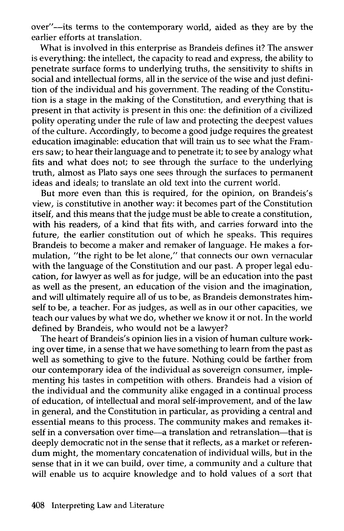over"--its terms to the contemporary world, aided as they are by the earlier efforts at translation.

What is involved in this enterprise as Brandeis defines it? The answer is everything: the intellect, the capacity to read and express, the ability to penetrate surface forms to underlying truths, the sensitivity to shifts in social and intellectual forms, all in the service of the wise and just definition of the individual and his government. The reading of the Constitution is a stage in the making of the Constitution, and everything that is present in that activity is present in this one: the definition of a civilized polity operating under the rule of law and protecting the deepest values of the culture. Accordingly, to become a good judge requires the greatest education imaginable: education that will train us to see what the Framers saw; to hear their language and to penetrate it; to see by analogy what fits and what does not; to see through the surface to the underlying truth, almost as Plato says one sees through the surfaces to permanent ideas and ideals; to translate an old text into the current world.

But more even than this is required, for the opinion, on Brandeis's view, is constitutive in another way: it becomes part of the Constitution itself, and this means that the judge must be able to create a constitution, with his readers, of a kind that fits with, and carries forward into the future, the earlier constitution out of which he speaks. This requires Brandeis to become a maker and remaker of language. He makes a formulation, "the right to be let alone," that connects our own vernacular with the language of the Constitution and our past. A proper legal education, for lawyer as well as for judge, will be an education into the past as well as the present, an education of the vision and the imagination, and will ultimately require all of us to be, as Brandeis demonstrates himself to be, a teacher. For as judges, as well as in our other capacities, we teach our values by what we do, whether we know it or not. In the world defined by Brandeis, who would not be a lawyer?

The heart of Brandeis's opinion lies in a vision of human culture working over time, in a sense that we have something to learn from the past as well as something to give to the future. Nothing could be farther from our contemporary idea of the individual as sovereign consumer, implementing his tastes in competition with others. Brandeis had a vision of the individual and the community alike engaged in a continual process of education, of intellectual and moral self-improvement, and of the law in general, and the Constitution in particular, as providing a central and essential means to this process. The community makes and remakes itself in a conversation over time-a translation and retranslation-that is deeply democratic not in the sense that it reflects, as a market or referendum might, the momentary concatenation of individual wills, but in the sense that in it we can build, over time, a community and a culture that will enable us to acquire knowledge and to hold values of a sort that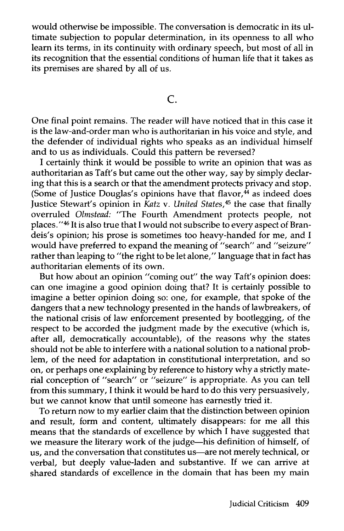would otherwise be impossible. The conversation is democratic in its ultimate subjection to popular determination, in its openness to all who learn its terms, in its continuity with ordinary speech, but most of all in its recognition that the essential conditions of human life that it takes as its premises are shared by all of us.

One final point remains. The reader will have noticed that in this case it is the law-and-order man who is authoritarian in his voice and style, and the defender of individual rights who speaks as an individual himself and to us as individuals. Could this pattern be reversed?

I certainly think it would be possible to write an opinion that was as authoritarian as Taft's but came out the other way, say by simply declaring that this is a search or that the amendment protects privacy and stop. (Some of Justice Douglas's opinions have that flavor, $44$  as indeed does Justice Stewart's opinion in *Katz* v. *United States, <sup>45</sup>*the case that finally overruled *Olmstead:* "The Fourth Amendment protects people, not places." 46 It is also true that I would not subscribe to every aspect of Brandeis's opinion; his prose is sometimes too heavy-handed for me, and I would have preferred to expand the meaning of "search" and "seizure" rather than leaping to "the right to be let alone," language that in fact has authoritarian elements of its own.

But how about an opinion "coming out" the way Taft's opinion does: can one imagine a good opinion doing that? It is certainly possible to imagine a better opinion doing so: one, for example, that spoke of the dangers that a new technology presented in the hands of lawbreakers, of the national crisis of law enforcement presented by bootlegging, of the respect to be accorded the judgment made by the executive (which is, after all, democratically accountable), of the reasons why the states should not be able to interfere with a national solution to a national problem, of the need for adaptation in constitutional interpretation, and so on, or perhaps one explaining by reference to history why a strictly material conception of "search" or "seizure" is appropriate. As you can tell from this summary, I think it would be hard to do this very persuasively, but we cannot know that until someone has earnestly tried it.

To return now to my earlier claim that the distinction between opinion and result, form and content, ultimately disappears: for me all this means that the standards of excellence by which I have suggested that we measure the literary work of the judge—his definition of himself, of us, and the conversation that constitutes us—are not merely technical, or verbal, but deeply value-laden and substantive. If we can arrive at shared standards of excellence in the domain that has been my main